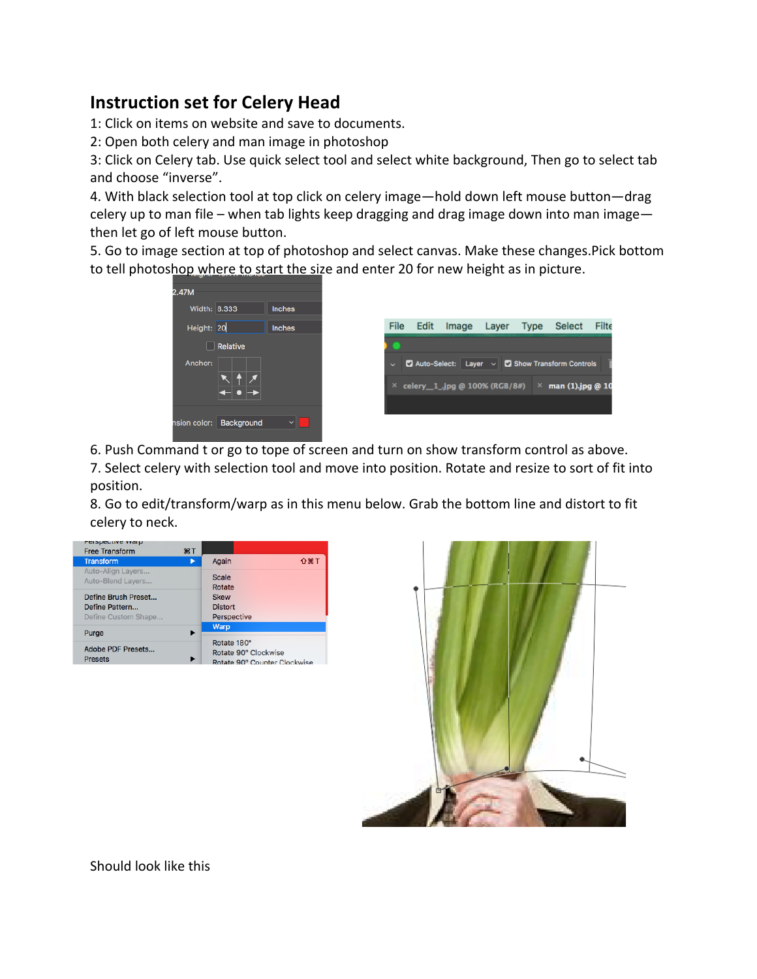## **Instruction set for Celery Head**

1: Click on items on website and save to documents.

2: Open both celery and man image in photoshop

3: Click on Celery tab. Use quick select tool and select white background, Then go to select tab and choose "inverse".

4. With black selection tool at top click on celery image—hold down left mouse button—drag celery up to man file – when tab lights keep dragging and drag image down into man image then let go of left mouse button.

5. Go to image section at top of photoshop and select canvas. Make these changes.Pick bottom to tell photoshop where to start the size and enter 20 for new height as in picture.

| 2.47M        |            |               |              |      |                                       |       |             |                                                                                         |       |
|--------------|------------|---------------|--------------|------|---------------------------------------|-------|-------------|-----------------------------------------------------------------------------------------|-------|
| Width: 8.333 |            | <b>Inches</b> |              |      |                                       |       |             |                                                                                         |       |
| Height: 20   |            | <b>Inches</b> | <b>File</b>  | Edit | Image                                 | Layer | <b>Type</b> | <b>Select</b>                                                                           | Filte |
| <b>Side</b>  | Relative   |               |              |      |                                       |       |             |                                                                                         |       |
| Anchor:      |            |               | $\checkmark$ |      | $\times$ celery 1_ipg @ 100% (RGB/8#) |       |             | Auto-Select: Layer $\vee$ <b>D</b> Show Transform Controls<br>$\times$ man (1).jpg @ 10 |       |
|              |            |               |              |      |                                       |       |             |                                                                                         |       |
| nsion color: | Background | $\checkmark$  |              |      |                                       |       |             |                                                                                         |       |

6. Push Command t or go to tope of screen and turn on show transform control as above.

7. Select celery with selection tool and move into position. Rotate and resize to sort of fit into position.

8. Go to edit/transform/warp as in this menu below. Grab the bottom line and distort to fit celery to neck.





Should look like this